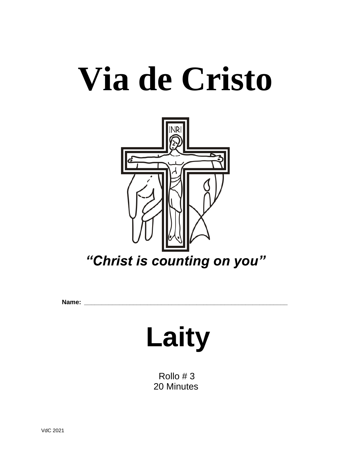# **Via de Cristo**



**Name: \_\_\_\_\_\_\_\_\_\_\_\_\_\_\_\_\_\_\_\_\_\_\_\_\_\_\_\_\_\_\_\_\_\_\_\_\_\_\_\_\_\_\_\_\_\_\_\_\_\_\_\_\_\_\_\_\_\_**

# **Laity**

 Rollo # 3 20 Minutes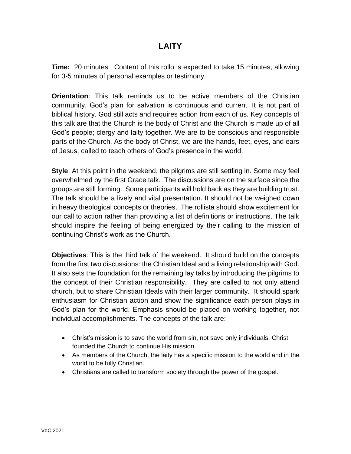## **LAITY**

**Time:** 20 minutes. Content of this rollo is expected to take 15 minutes, allowing for 3-5 minutes of personal examples or testimony.

**Orientation**: This talk reminds us to be active members of the Christian community. God's plan for salvation is continuous and current. It is not part of biblical history. God still acts and requires action from each of us. Key concepts of this talk are that the Church is the body of Christ and the Church is made up of all God's people; clergy and laity together. We are to be conscious and responsible parts of the Church. As the body of Christ, we are the hands, feet, eyes, and ears of Jesus, called to teach others of God's presence in the world.

**Style**: At this point in the weekend, the pilgrims are still settling in. Some may feel overwhelmed by the first Grace talk. The discussions are on the surface since the groups are still forming. Some participants will hold back as they are building trust. The talk should be a lively and vital presentation. It should not be weighed down in heavy theological concepts or theories. The rollista should show excitement for our call to action rather than providing a list of definitions or instructions. The talk should inspire the feeling of being energized by their calling to the mission of continuing Christ's work as the Church.

**Objectives**: This is the third talk of the weekend. It should build on the concepts from the first two discussions: the Christian Ideal and a living relationship with God. It also sets the foundation for the remaining lay talks by introducing the pilgrims to the concept of their Christian responsibility. They are called to not only attend church, but to share Christian Ideals with their larger community. It should spark enthusiasm for Christian action and show the significance each person plays in God's plan for the world. Emphasis should be placed on working together, not individual accomplishments. The concepts of the talk are:

- Christ's mission is to save the world from sin, not save only individuals. Christ founded the Church to continue His mission.
- As members of the Church, the laity has a specific mission to the world and in the world to be fully Christian.
- Christians are called to transform society through the power of the gospel.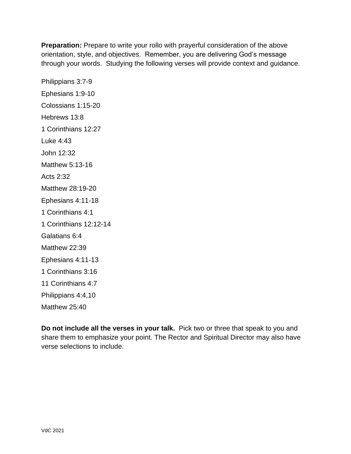**Preparation:** Prepare to write your rollo with prayerful consideration of the above orientation, style, and objectives. Remember, you are delivering God's message through your words. Studying the following verses will provide context and guidance.

Philippians 3:7-9 Ephesians 1:9-10 Colossians 1:15-20 Hebrews 13:8 1 Corinthians 12:27 Luke 4:43 John 12:32 Matthew 5:13-16 Acts 2:32 Matthew 28:19-20 Ephesians 4:11-18 1 Corinthians 4:1 1 Corinthians 12:12-14 Galatians 6:4 Matthew 22:39 Ephesians 4:11-13 1 Corinthians 3:16 11 Corinthians 4:7 Philippians 4:4,10 Matthew 25:40

**Do not include all the verses in your talk.** Pick two or three that speak to you and share them to emphasize your point. The Rector and Spiritual Director may also have verse selections to include.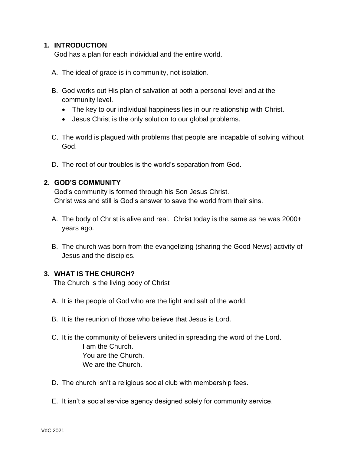#### **1. INTRODUCTION**

God has a plan for each individual and the entire world.

- A. The ideal of grace is in community, not isolation.
- B. God works out His plan of salvation at both a personal level and at the community level.
	- The key to our individual happiness lies in our relationship with Christ.
	- Jesus Christ is the only solution to our global problems.
- C. The world is plagued with problems that people are incapable of solving without God.
- D. The root of our troubles is the world's separation from God.

#### **2. GOD'S COMMUNITY**

God's community is formed through his Son Jesus Christ. Christ was and still is God's answer to save the world from their sins.

- A. The body of Christ is alive and real. Christ today is the same as he was 2000+ years ago.
- B. The church was born from the evangelizing (sharing the Good News) activity of Jesus and the disciples.

#### **3. WHAT IS THE CHURCH?**

The Church is the living body of Christ

- A. It is the people of God who are the light and salt of the world.
- B. It is the reunion of those who believe that Jesus is Lord.
- C. It is the community of believers united in spreading the word of the Lord. I am the Church. You are the Church. We are the Church.
- D. The church isn't a religious social club with membership fees.
- E. It isn't a social service agency designed solely for community service.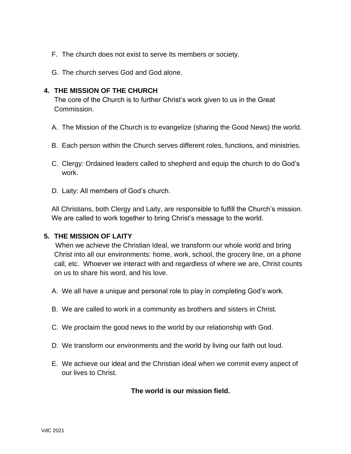- F. The church does not exist to serve its members or society.
- G. The church serves God and God alone.

#### **4. THE MISSION OF THE CHURCH**

The core of the Church is to further Christ's work given to us in the Great Commission.

- A. The Mission of the Church is to evangelize (sharing the Good News) the world.
- B. Each person within the Church serves different roles, functions, and ministries.
- C. Clergy: Ordained leaders called to shepherd and equip the church to do God's work.
- D. Laity: All members of God's church.

All Christians, both Clergy and Laity, are responsible to fulfill the Church's mission. We are called to work together to bring Christ's message to the world.

#### **5. THE MISSION OF LAITY**

When we achieve the Christian Ideal, we transform our whole world and bring Christ into all our environments: home, work, school, the grocery line, on a phone call, etc. Whoever we interact with and regardless of where we are, Christ counts on us to share his word, and his love.

- A. We all have a unique and personal role to play in completing God's work.
- B. We are called to work in a community as brothers and sisters in Christ.
- C. We proclaim the good news to the world by our relationship with God.
- D. We transform our environments and the world by living our faith out loud.
- E. We achieve our ideal and the Christian ideal when we commit every aspect of our lives to Christ.

**The world is our mission field.**